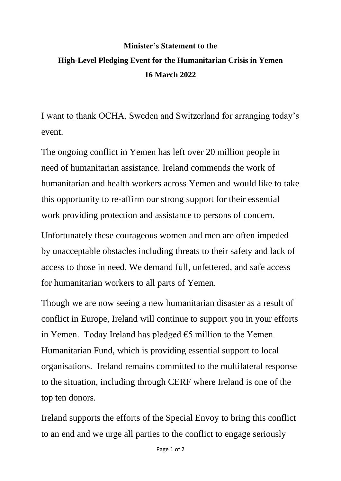## **Minister's Statement to the High-Level Pledging Event for the Humanitarian Crisis in Yemen 16 March 2022**

I want to thank OCHA, Sweden and Switzerland for arranging today's event.

The ongoing conflict in Yemen has left over 20 million people in need of humanitarian assistance. Ireland commends the work of humanitarian and health workers across Yemen and would like to take this opportunity to re-affirm our strong support for their essential work providing protection and assistance to persons of concern.

Unfortunately these courageous women and men are often impeded by unacceptable obstacles including threats to their safety and lack of access to those in need. We demand full, unfettered, and safe access for humanitarian workers to all parts of Yemen.

Though we are now seeing a new humanitarian disaster as a result of conflict in Europe, Ireland will continue to support you in your efforts in Yemen. Today Ireland has pledged  $\epsilon$ 5 million to the Yemen Humanitarian Fund, which is providing essential support to local organisations. Ireland remains committed to the multilateral response to the situation, including through CERF where Ireland is one of the top ten donors.

Ireland supports the efforts of the Special Envoy to bring this conflict to an end and we urge all parties to the conflict to engage seriously